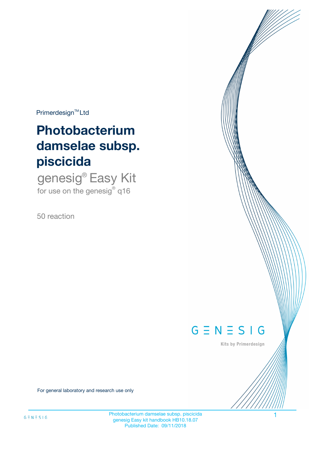$Primerdesign^{\text{TM}}Ltd$ 

# **Photobacterium damselae subsp. piscicida**

genesig® Easy Kit for use on the genesig $^{\circ}$  q16

50 reaction



Kits by Primerdesign

For general laboratory and research use only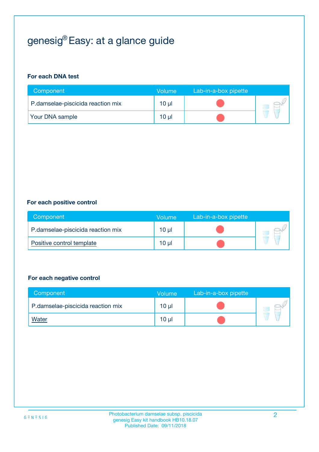# genesig® Easy: at a glance guide

#### **For each DNA test**

| Component                         | <b>Volume</b> | Lab-in-a-box pipette |  |
|-----------------------------------|---------------|----------------------|--|
| P.damselae-piscicida reaction mix | 10 µl         |                      |  |
| Your DNA sample                   | 10 µl         |                      |  |

#### **For each positive control**

| Component                         | Volume          | Lab-in-a-box pipette |  |
|-----------------------------------|-----------------|----------------------|--|
| P.damselae-piscicida reaction mix | 10 <sub>µ</sub> |                      |  |
| Positive control template         | 10 µl           |                      |  |

#### **For each negative control**

| Component                         | Volume          | Lab-in-a-box pipette |  |
|-----------------------------------|-----------------|----------------------|--|
| P.damselae-piscicida reaction mix | 10 <sub>µ</sub> |                      |  |
| <u>Water</u>                      | 10 <sub>µ</sub> |                      |  |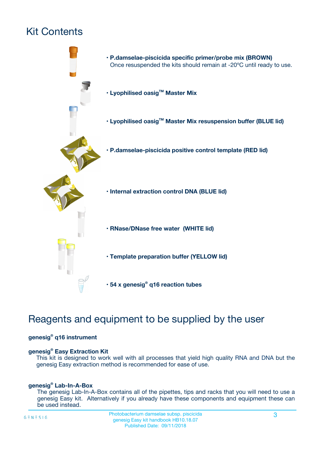# Kit Contents



## Reagents and equipment to be supplied by the user

#### **genesig® q16 instrument**

#### **genesig® Easy Extraction Kit**

This kit is designed to work well with all processes that yield high quality RNA and DNA but the genesig Easy extraction method is recommended for ease of use.

#### **genesig® Lab-In-A-Box**

The genesig Lab-In-A-Box contains all of the pipettes, tips and racks that you will need to use a genesig Easy kit. Alternatively if you already have these components and equipment these can be used instead.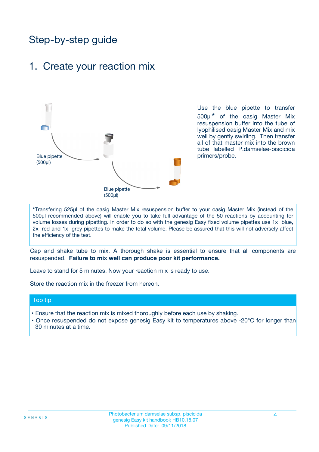## Step-by-step guide

### 1. Create your reaction mix



Use the blue pipette to transfer 500µl**\*** of the oasig Master Mix resuspension buffer into the tube of lyophilised oasig Master Mix and mix well by gently swirling. Then transfer all of that master mix into the brown tube labelled P.damselae-piscicida primers/probe.

**\***Transfering 525µl of the oasig Master Mix resuspension buffer to your oasig Master Mix (instead of the 500µl recommended above) will enable you to take full advantage of the 50 reactions by accounting for volume losses during pipetting. In order to do so with the genesig Easy fixed volume pipettes use 1x blue, 2x red and 1x grey pipettes to make the total volume. Please be assured that this will not adversely affect the efficiency of the test.

Cap and shake tube to mix. A thorough shake is essential to ensure that all components are resuspended. **Failure to mix well can produce poor kit performance.**

Leave to stand for 5 minutes. Now your reaction mix is ready to use.

Store the reaction mix in the freezer from hereon.

#### Top tip

- Ensure that the reaction mix is mixed thoroughly before each use by shaking.
- **•** Once resuspended do not expose genesig Easy kit to temperatures above -20°C for longer than 30 minutes at a time.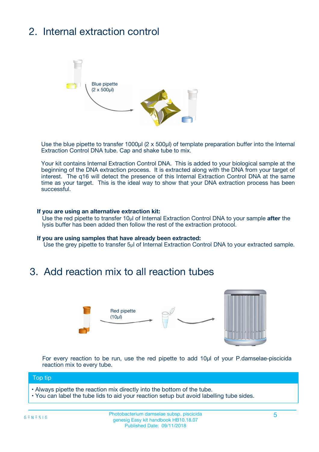# 2. Internal extraction control



Use the blue pipette to transfer 1000µl (2 x 500µl) of template preparation buffer into the Internal Extraction Control DNA tube. Cap and shake tube to mix.

Your kit contains Internal Extraction Control DNA. This is added to your biological sample at the beginning of the DNA extraction process. It is extracted along with the DNA from your target of interest. The q16 will detect the presence of this Internal Extraction Control DNA at the same time as your target. This is the ideal way to show that your DNA extraction process has been successful.

#### **If you are using an alternative extraction kit:**

Use the red pipette to transfer 10µl of Internal Extraction Control DNA to your sample **after** the lysis buffer has been added then follow the rest of the extraction protocol.

#### **If you are using samples that have already been extracted:**

Use the grey pipette to transfer 5µl of Internal Extraction Control DNA to your extracted sample.

## 3. Add reaction mix to all reaction tubes



For every reaction to be run, use the red pipette to add 10µl of your P.damselae-piscicida reaction mix to every tube.

#### Top tip

- Always pipette the reaction mix directly into the bottom of the tube.
- You can label the tube lids to aid your reaction setup but avoid labelling tube sides.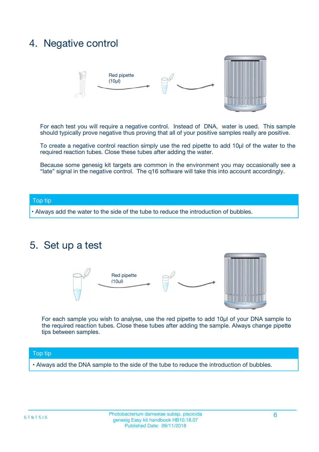## 4. Negative control



For each test you will require a negative control. Instead of DNA, water is used. This sample should typically prove negative thus proving that all of your positive samples really are positive.

To create a negative control reaction simply use the red pipette to add 10µl of the water to the required reaction tubes. Close these tubes after adding the water.

Because some genesig kit targets are common in the environment you may occasionally see a "late" signal in the negative control. The q16 software will take this into account accordingly.

#### Top tip

**•** Always add the water to the side of the tube to reduce the introduction of bubbles.

### 5. Set up a test



For each sample you wish to analyse, use the red pipette to add 10µl of your DNA sample to the required reaction tubes. Close these tubes after adding the sample. Always change pipette tips between samples.

#### Top tip

**•** Always add the DNA sample to the side of the tube to reduce the introduction of bubbles.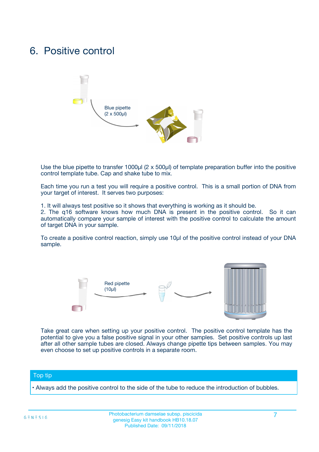## 6. Positive control



Use the blue pipette to transfer 1000µl (2 x 500µl) of template preparation buffer into the positive control template tube. Cap and shake tube to mix.

Each time you run a test you will require a positive control. This is a small portion of DNA from your target of interest. It serves two purposes:

1. It will always test positive so it shows that everything is working as it should be.

2. The q16 software knows how much DNA is present in the positive control. So it can automatically compare your sample of interest with the positive control to calculate the amount of target DNA in your sample.

To create a positive control reaction, simply use 10µl of the positive control instead of your DNA sample.



Take great care when setting up your positive control. The positive control template has the potential to give you a false positive signal in your other samples. Set positive controls up last after all other sample tubes are closed. Always change pipette tips between samples. You may even choose to set up positive controls in a separate room.

#### Top tip

**•** Always add the positive control to the side of the tube to reduce the introduction of bubbles.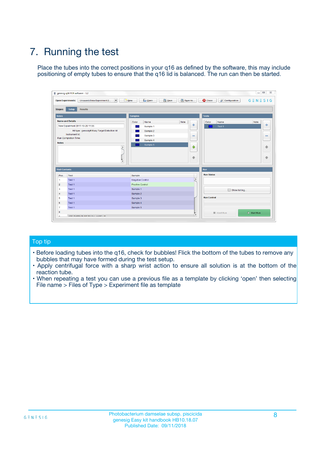# 7. Running the test

Place the tubes into the correct positions in your q16 as defined by the software, this may include positioning of empty tubes to ensure that the q16 lid is balanced. The run can then be started.

| qenesig q16 PCR software - 1.2                                               |                                   | $\Box$                                                                                          |
|------------------------------------------------------------------------------|-----------------------------------|-------------------------------------------------------------------------------------------------|
| $\vert \cdot \vert$<br>Unsaved (New Experiment 2<br><b>Open Experiments:</b> | <b>D</b> Open<br>R <sub>New</sub> | Save<br>Save As<br><b>C</b> Close<br><b>&amp; Configuration</b><br>$G \equiv N \equiv S \mid G$ |
| <b>Setup</b><br><b>Results</b><br>Stages:                                    |                                   |                                                                                                 |
| <b>Notes</b>                                                                 | <b>Samples</b>                    | <b>Tests</b>                                                                                    |
| <b>Name and Details</b>                                                      | Name<br>Color                     | Note<br>Color<br>Note<br>Name                                                                   |
| New Experiment 2017-10-26 11:06                                              | Sample 1                          | ÷<br>条<br>Test 1                                                                                |
| Kit type: genesig® Easy Target Detection kit                                 | Sample 2                          |                                                                                                 |
| Instrument Id.:                                                              | Sample 3                          | $\qquad \qquad \blacksquare$<br>$\qquad \qquad \blacksquare$                                    |
| <b>Run Completion Time:</b>                                                  | Sample 4                          |                                                                                                 |
| <b>Notes</b><br><b>A</b><br>$\overline{\mathbf v}$                           | Sample 5                          | ♦<br>4<br>÷<br>₩                                                                                |
| <b>Well Contents</b>                                                         |                                   | <b>Run</b>                                                                                      |
| Pos.<br>Test                                                                 | Sample                            | <b>Run Status</b>                                                                               |
| Test 1<br>$\blacktriangleleft$                                               | Negative Control                  | $\blacktriangle$                                                                                |
| $\overline{2}$<br>Test 1                                                     | <b>Positive Control</b>           |                                                                                                 |
| $\overline{\mathbf{3}}$<br>Test 1                                            | Sample 1                          | Show full log                                                                                   |
| Test 1<br>4                                                                  | Sample 2                          |                                                                                                 |
| 5<br>Test 1                                                                  | Sample 3                          | <b>Run Control</b>                                                                              |
| Test 1<br>6                                                                  | Sample 4                          |                                                                                                 |
| $\overline{7}$<br>Test 1                                                     | Sample 5                          |                                                                                                 |
| 8                                                                            |                                   | $\triangleright$ Start Run<br>Abort Run                                                         |
| <b>JOD FURTY TUDE TO BUILDED IN</b>                                          |                                   | $\overline{\mathbf{v}}$                                                                         |

#### Top tip

- Before loading tubes into the q16, check for bubbles! Flick the bottom of the tubes to remove any bubbles that may have formed during the test setup.
- Apply centrifugal force with a sharp wrist action to ensure all solution is at the bottom of the reaction tube.
- When repeating a test you can use a previous file as a template by clicking 'open' then selecting File name > Files of Type > Experiment file as template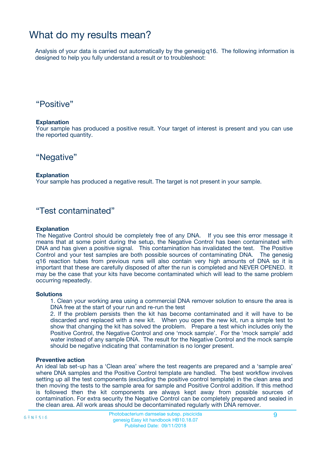## What do my results mean?

Analysis of your data is carried out automatically by the genesig q16. The following information is designed to help you fully understand a result or to troubleshoot:

### "Positive"

#### **Explanation**

Your sample has produced a positive result. Your target of interest is present and you can use the reported quantity.

"Negative"

#### **Explanation**

Your sample has produced a negative result. The target is not present in your sample.

### "Test contaminated"

#### **Explanation**

The Negative Control should be completely free of any DNA. If you see this error message it means that at some point during the setup, the Negative Control has been contaminated with DNA and has given a positive signal. This contamination has invalidated the test. The Positive Control and your test samples are both possible sources of contaminating DNA. The genesig q16 reaction tubes from previous runs will also contain very high amounts of DNA so it is important that these are carefully disposed of after the run is completed and NEVER OPENED. It may be the case that your kits have become contaminated which will lead to the same problem occurring repeatedly.

#### **Solutions**

1. Clean your working area using a commercial DNA remover solution to ensure the area is DNA free at the start of your run and re-run the test

2. If the problem persists then the kit has become contaminated and it will have to be discarded and replaced with a new kit. When you open the new kit, run a simple test to show that changing the kit has solved the problem. Prepare a test which includes only the Positive Control, the Negative Control and one 'mock sample'. For the 'mock sample' add water instead of any sample DNA. The result for the Negative Control and the mock sample should be negative indicating that contamination is no longer present.

#### **Preventive action**

An ideal lab set-up has a 'Clean area' where the test reagents are prepared and a 'sample area' where DNA samples and the Positive Control template are handled. The best workflow involves setting up all the test components (excluding the positive control template) in the clean area and then moving the tests to the sample area for sample and Positive Control addition. If this method is followed then the kit components are always kept away from possible sources of contamination. For extra security the Negative Control can be completely prepared and sealed in the clean area. All work areas should be decontaminated regularly with DNA remover.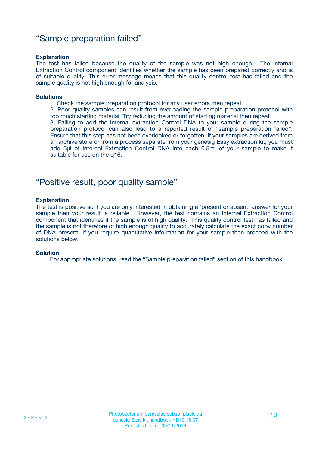### "Sample preparation failed"

#### **Explanation**

The test has failed because the quality of the sample was not high enough. The Internal Extraction Control component identifies whether the sample has been prepared correctly and is of suitable quality. This error message means that this quality control test has failed and the sample quality is not high enough for analysis.

#### **Solutions**

1. Check the sample preparation protocol for any user errors then repeat.

2. Poor quality samples can result from overloading the sample preparation protocol with too much starting material. Try reducing the amount of starting material then repeat.

3. Failing to add the Internal extraction Control DNA to your sample during the sample preparation protocol can also lead to a reported result of "sample preparation failed". Ensure that this step has not been overlooked or forgotten. If your samples are derived from an archive store or from a process separate from your genesig Easy extraction kit; you must add 5µl of Internal Extraction Control DNA into each 0.5ml of your sample to make it suitable for use on the q16.

### "Positive result, poor quality sample"

#### **Explanation**

The test is positive so if you are only interested in obtaining a 'present or absent' answer for your sample then your result is reliable. However, the test contains an Internal Extraction Control component that identifies if the sample is of high quality. This quality control test has failed and the sample is not therefore of high enough quality to accurately calculate the exact copy number of DNA present. If you require quantitative information for your sample then proceed with the solutions below.

#### **Solution**

For appropriate solutions, read the "Sample preparation failed" section of this handbook.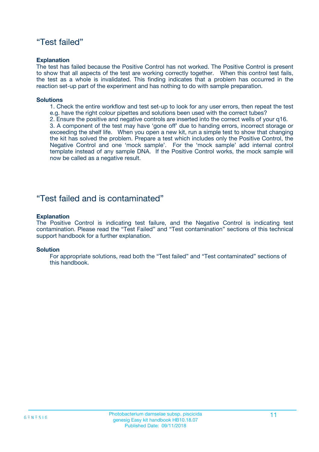### "Test failed"

#### **Explanation**

The test has failed because the Positive Control has not worked. The Positive Control is present to show that all aspects of the test are working correctly together. When this control test fails, the test as a whole is invalidated. This finding indicates that a problem has occurred in the reaction set-up part of the experiment and has nothing to do with sample preparation.

#### **Solutions**

- 1. Check the entire workflow and test set-up to look for any user errors, then repeat the test e.g. have the right colour pipettes and solutions been used with the correct tubes?
- 2. Ensure the positive and negative controls are inserted into the correct wells of your q16.

3. A component of the test may have 'gone off' due to handing errors, incorrect storage or exceeding the shelf life. When you open a new kit, run a simple test to show that changing the kit has solved the problem. Prepare a test which includes only the Positive Control, the Negative Control and one 'mock sample'. For the 'mock sample' add internal control template instead of any sample DNA. If the Positive Control works, the mock sample will now be called as a negative result.

### "Test failed and is contaminated"

#### **Explanation**

The Positive Control is indicating test failure, and the Negative Control is indicating test contamination. Please read the "Test Failed" and "Test contamination" sections of this technical support handbook for a further explanation.

#### **Solution**

For appropriate solutions, read both the "Test failed" and "Test contaminated" sections of this handbook.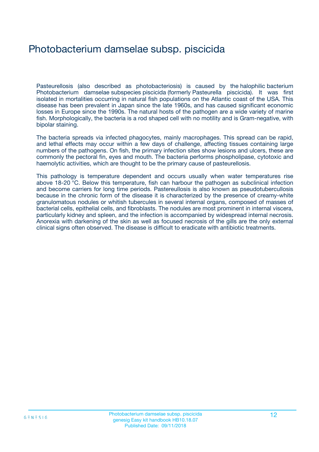# Photobacterium damselae subsp. piscicida

Pasteurellosis (also described as photobacteriosis) is caused by the halophilic bacterium Photobacterium damselae subspecies piscicida (formerly Pasteurella piscicida). It was first isolated in mortalities occurring in natural fish populations on the Atlantic coast of the USA. This disease has been prevalent in Japan since the late 1960s, and has caused significant economic losses in Europe since the 1990s. The natural hosts of the pathogen are a wide variety of marine fish. Morphologically, the bacteria is a rod shaped cell with no motility and is Gram-negative, with bipolar staining.

The bacteria spreads via infected phagocytes, mainly macrophages. This spread can be rapid, and lethal effects may occur within a few days of challenge, affecting tissues containing large numbers of the pathogens. On fish, the primary infection sites show lesions and ulcers, these are commonly the pectoral fin, eyes and mouth. The bacteria performs phospholipase, cytotoxic and haemolytic activities, which are thought to be the primary cause of pasteurellosis.

This pathology is temperature dependent and occurs usually when water temperatures rise above 18-20 °C. Below this temperature, fish can harbour the pathogen as subclinical infection and become carriers for long time periods. Pastereullosis is also known as pseudotubercullosis because in the chronic form of the disease it is characterized by the presence of creamy-white granulomatous nodules or whitish tubercules in several internal organs, composed of masses of bacterial cells, epithelial cells, and fibroblasts. The nodules are most prominent in internal viscera, particularly kidney and spleen, and the infection is accompanied by widespread internal necrosis. Anorexia with darkening of the skin as well as focused necrosis of the gills are the only external clinical signs often observed. The disease is difficult to eradicate with antibiotic treatments.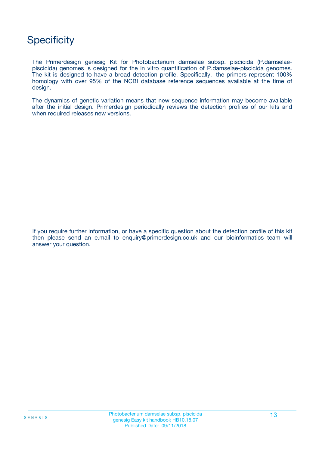## **Specificity**

The Primerdesign genesig Kit for Photobacterium damselae subsp. piscicida (P.damselaepiscicida) genomes is designed for the in vitro quantification of P.damselae-piscicida genomes. The kit is designed to have a broad detection profile. Specifically, the primers represent 100% homology with over 95% of the NCBI database reference sequences available at the time of design.

The dynamics of genetic variation means that new sequence information may become available after the initial design. Primerdesign periodically reviews the detection profiles of our kits and when required releases new versions.

If you require further information, or have a specific question about the detection profile of this kit then please send an e.mail to enquiry@primerdesign.co.uk and our bioinformatics team will answer your question.